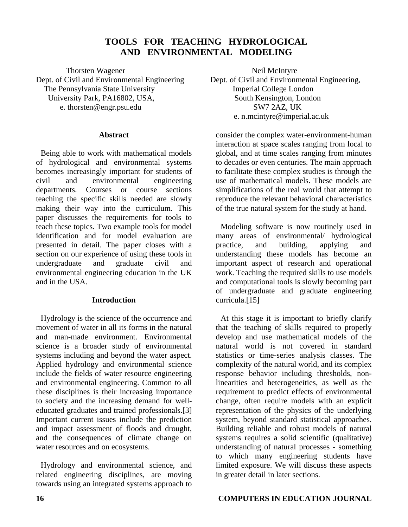# **TOOLS FOR TEACHING HYDROLOGICAL AND ENVIRONMENTAL MODELING**

Thorsten Wagener Neil McIntyre The Pennsylvania State University University Park, PA16802, USA, South Kensington, London e. thorsten@engr.psu.edu SW7 2AZ, UK

### **Abstract**

Being able to work with mathematical models of hydrological and environmental systems becomes increasingly important for students of civil and environmental engineering departments. Courses or course sections teaching the specific skills needed are slowly making their way into the curriculum. This paper discusses the requirements for tools to teach these topics. Two example tools for model identification and for model evaluation are presented in detail. The paper closes with a section on our experience of using these tools in undergraduate and graduate civil and environmental engineering education in the UK and in the USA.

### **Introduction**

Hydrology is the science of the occurrence and movement of water in all its forms in the natural and man-made environment. Environmental science is a broader study of environmental systems including and beyond the water aspect. Applied hydrology and environmental science include the fields of water resource engineering and environmental engineering. Common to all these disciplines is their increasing importance to society and the increasing demand for welleducated graduates and trained professionals.[3] Important current issues include the prediction and impact assessment of floods and drought, and the consequences of climate change on water resources and on ecosystems.

Hydrology and environmental science, and related engineering disciplines, are moving towards using an integrated systems approach to

Dept. of Civil and Environmental Engineering Dept. of Civil and Environmental Engineering,<br>The Pennsylvania State University Imperial College London e. n.mcintyre@imperial.ac.uk

> consider the complex water-environment-human interaction at space scales ranging from local to global, and at time scales ranging from minutes to decades or even centuries. The main approach to facilitate these complex studies is through the use of mathematical models. These models are simplifications of the real world that attempt to reproduce the relevant behavioral characteristics of the true natural system for the study at hand.

> Modeling software is now routinely used in many areas of environmental/ hydrological practice, and building, applying and understanding these models has become an important aspect of research and operational work. Teaching the required skills to use models and computational tools is slowly becoming part of undergraduate and graduate engineering curricula.[15]

> At this stage it is important to briefly clarify that the teaching of skills required to properly develop and use mathematical models of the natural world is not covered in standard statistics or time-series analysis classes. The complexity of the natural world, and its complex response behavior including thresholds, nonlinearities and heterogeneities, as well as the requirement to predict effects of environmental change, often require models with an explicit representation of the physics of the underlying system, beyond standard statistical approaches. Building reliable and robust models of natural systems requires a solid scientific (qualitative) understanding of natural processes - something to which many engineering students have limited exposure. We will discuss these aspects in greater detail in later sections.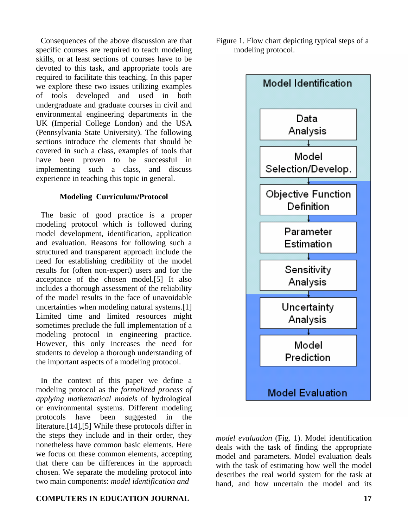Consequences of the above discussion are that specific courses are required to teach modeling skills, or at least sections of courses have to be devoted to this task, and appropriate tools are required to facilitate this teaching. In this paper we explore these two issues utilizing examples of tools developed and used in both undergraduate and graduate courses in civil and environmental engineering departments in the UK (Imperial College London) and the USA (Pennsylvania State University). The following sections introduce the elements that should be covered in such a class, examples of tools that have been proven to be successful in implementing such a class, and discuss experience in teaching this topic in general.

#### **Modeling Curriculum/Protocol**

The basic of good practice is a proper modeling protocol which is followed during model development, identification, application and evaluation. Reasons for following such a structured and transparent approach include the need for establishing credibility of the model results for (often non-expert) users and for the acceptance of the chosen model.[5] It also includes a thorough assessment of the reliability of the model results in the face of unavoidable uncertainties when modeling natural systems.[1] Limited time and limited resources might sometimes preclude the full implementation of a modeling protocol in engineering practice. However, this only increases the need for students to develop a thorough understanding of the important aspects of a modeling protocol.

In the context of this paper we define a modeling protocol as the *formalized process of applying mathematical models* of hydrological or environmental systems. Different modeling protocols have been suggested in the literature.[14],[5] While these protocols differ in the steps they include and in their order, they nonetheless have common basic elements. Here we focus on these common elements, accepting that there can be differences in the approach chosen. We separate the modeling protocol into two main components: *model identification and* 

### **COMPUTERS IN EDUCATION JOURNAL 17**

Figure 1. Flow chart depicting typical steps of a modeling protocol.



*model evaluation* (Fig. 1). Model identification deals with the task of finding the appropriate model and parameters. Model evaluation deals with the task of estimating how well the model describes the real world system for the task at hand, and how uncertain the model and its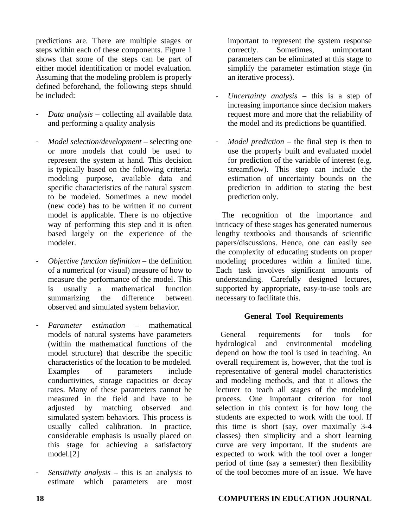predictions are. There are multiple stages or steps within each of these components. Figure 1 shows that some of the steps can be part of either model identification or model evaluation. Assuming that the modeling problem is properly defined beforehand, the following steps should be included:

- *Data analysis* collecting all available data and performing a quality analysis
- *Model selection/development* selecting one or more models that could be used to represent the system at hand. This decision is typically based on the following criteria: modeling purpose, available data and specific characteristics of the natural system to be modeled. Sometimes a new model (new code) has to be written if no current model is applicable. There is no objective way of performing this step and it is often based largely on the experience of the modeler.
- *Objective function definition* the definition of a numerical (or visual) measure of how to measure the performance of the model. This is usually a mathematical function summarizing the difference between observed and simulated system behavior.
- *Parameter estimation*  mathematical models of natural systems have parameters (within the mathematical functions of the model structure) that describe the specific characteristics of the location to be modeled. Examples of parameters include conductivities, storage capacities or decay rates. Many of these parameters cannot be measured in the field and have to be adjusted by matching observed and simulated system behaviors. This process is usually called calibration. In practice, considerable emphasis is usually placed on this stage for achieving a satisfactory model.[2]
- *Sensitivity analysis* this is an analysis to estimate which parameters are most

important to represent the system response correctly. Sometimes, unimportant parameters can be eliminated at this stage to simplify the parameter estimation stage (in an iterative process).

- *Uncertainty analysis* this is a step of increasing importance since decision makers request more and more that the reliability of the model and its predictions be quantified.
- *Model prediction* the final step is then to use the properly built and evaluated model for prediction of the variable of interest (e.g. streamflow). This step can include the estimation of uncertainty bounds on the prediction in addition to stating the best prediction only.

The recognition of the importance and intricacy of these stages has generated numerous lengthy textbooks and thousands of scientific papers/discussions. Hence, one can easily see the complexity of educating students on proper modeling procedures within a limited time. Each task involves significant amounts of understanding. Carefully designed lectures, supported by appropriate, easy-to-use tools are necessary to facilitate this.

## **General Tool Requirements**

General requirements for tools for hydrological and environmental modeling depend on how the tool is used in teaching. An overall requirement is, however, that the tool is representative of general model characteristics and modeling methods, and that it allows the lecturer to teach all stages of the modeling process. One important criterion for tool selection in this context is for how long the students are expected to work with the tool. If this time is short (say, over maximally 3-4 classes) then simplicity and a short learning curve are very important. If the students are expected to work with the tool over a longer period of time (say a semester) then flexibility of the tool becomes more of an issue. We have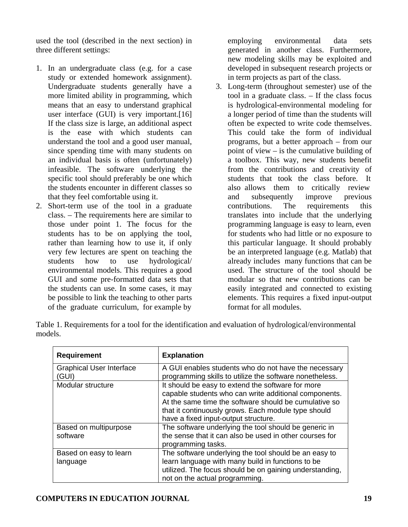used the tool (described in the next section) in three different settings:

- 1. In an undergraduate class (e.g. for a case study or extended homework assignment). Undergraduate students generally have a more limited ability in programming, which means that an easy to understand graphical user interface (GUI) is very important.[16] If the class size is large, an additional aspect is the ease with which students can understand the tool and a good user manual, since spending time with many students on an individual basis is often (unfortunately) infeasible. The software underlying the specific tool should preferably be one which the students encounter in different classes so that they feel comfortable using it.
- 2. Short-term use of the tool in a graduate class. – The requirements here are similar to those under point 1. The focus for the students has to be on applying the tool, rather than learning how to use it, if only very few lectures are spent on teaching the students how to use hydrological/ environmental models. This requires a good GUI and some pre-formatted data sets that the students can use. In some cases, it may be possible to link the teaching to other parts of the graduate curriculum, for example by

employing environmental data sets generated in another class. Furthermore, new modeling skills may be exploited and developed in subsequent research projects or in term projects as part of the class.

3. Long-term (throughout semester) use of the tool in a graduate class. – If the class focus is hydrological-environmental modeling for a longer period of time than the students will often be expected to write code themselves. This could take the form of individual programs, but a better approach – from our point of view – is the cumulative building of a toolbox. This way, new students benefit from the contributions and creativity of students that took the class before. It also allows them to critically review and subsequently improve previous contributions. The requirements this translates into include that the underlying programming language is easy to learn, even for students who had little or no exposure to this particular language. It should probably be an interpreted language (e.g. Matlab) that already includes many functions that can be used. The structure of the tool should be modular so that new contributions can be easily integrated and connected to existing elements. This requires a fixed input-output format for all modules.

Table 1. Requirements for a tool for the identification and evaluation of hydrological/environmental models.

| <b>Requirement</b>                       | <b>Explanation</b>                                                                                                                                                                                                                                                 |
|------------------------------------------|--------------------------------------------------------------------------------------------------------------------------------------------------------------------------------------------------------------------------------------------------------------------|
| <b>Graphical User Interface</b><br>(GUI) | A GUI enables students who do not have the necessary<br>programming skills to utilize the software nonetheless.                                                                                                                                                    |
| Modular structure                        | It should be easy to extend the software for more<br>capable students who can write additional components.<br>At the same time the software should be cumulative so<br>that it continuously grows. Each module type should<br>have a fixed input-output structure. |
| Based on multipurpose<br>software        | The software underlying the tool should be generic in<br>the sense that it can also be used in other courses for<br>programming tasks.                                                                                                                             |
| Based on easy to learn<br>language       | The software underlying the tool should be an easy to<br>learn language with many build in functions to be<br>utilized. The focus should be on gaining understanding,<br>not on the actual programming.                                                            |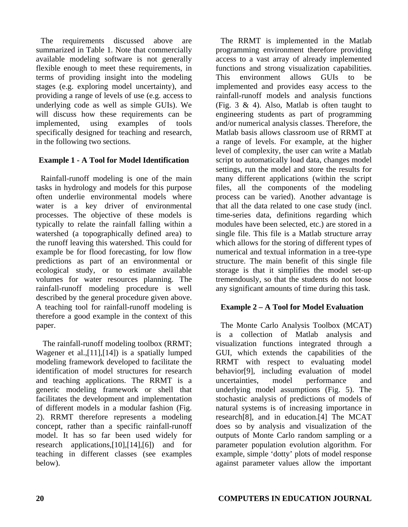The requirements discussed above are summarized in Table 1. Note that commercially available modeling software is not generally flexible enough to meet these requirements, in terms of providing insight into the modeling stages (e.g. exploring model uncertainty), and providing a range of levels of use (e.g. access to underlying code as well as simple GUIs). We will discuss how these requirements can be implemented, using examples of tools specifically designed for teaching and research, in the following two sections.

## **Example 1 - A Tool for Model Identification**

Rainfall-runoff modeling is one of the main tasks in hydrology and models for this purpose often underlie environmental models where water is a key driver of environmental processes. The objective of these models is typically to relate the rainfall falling within a watershed (a topographically defined area) to the runoff leaving this watershed. This could for example be for flood forecasting, for low flow predictions as part of an environmental or ecological study, or to estimate available volumes for water resources planning. The rainfall-runoff modeling procedure is well described by the general procedure given above. A teaching tool for rainfall-runoff modeling is therefore a good example in the context of this paper.

 The rainfall-runoff modeling toolbox (RRMT; Wagener et al.,[11],[14]) is a spatially lumped modeling framework developed to facilitate the identification of model structures for research and teaching applications. The RRMT is a generic modeling framework or shell that facilitates the development and implementation of different models in a modular fashion (Fig. 2). RRMT therefore represents a modeling concept, rather than a specific rainfall-runoff model. It has so far been used widely for research applications,[10],[14],[6]) and for teaching in different classes (see examples below).

The RRMT is implemented in the Matlab programming environment therefore providing access to a vast array of already implemented functions and strong visualization capabilities. This environment allows GUIs to be implemented and provides easy access to the rainfall-runoff models and analysis functions (Fig. 3 & 4). Also, Matlab is often taught to engineering students as part of programming and/or numerical analysis classes. Therefore, the Matlab basis allows classroom use of RRMT at a range of levels. For example, at the higher level of complexity, the user can write a Matlab script to automatically load data, changes model settings, run the model and store the results for many different applications (within the script files, all the components of the modeling process can be varied). Another advantage is that all the data related to one case study (incl. time-series data, definitions regarding which modules have been selected, etc.) are stored in a single file. This file is a Matlab structure array which allows for the storing of different types of numerical and textual information in a tree-type structure. The main benefit of this single file storage is that it simplifies the model set-up tremendously, so that the students do not loose any significant amounts of time during this task.

# **Example 2 – A Tool for Model Evaluation**

The Monte Carlo Analysis Toolbox (MCAT) is a collection of Matlab analysis and visualization functions integrated through a GUI, which extends the capabilities of the RRMT with respect to evaluating model behavior[9], including evaluation of model uncertainties, model performance and underlying model assumptions (Fig. 5). The stochastic analysis of predictions of models of natural systems is of increasing importance in research[8], and in education.[4] The MCAT does so by analysis and visualization of the outputs of Monte Carlo random sampling or a parameter population evolution algorithm. For example, simple 'dotty' plots of model response against parameter values allow the important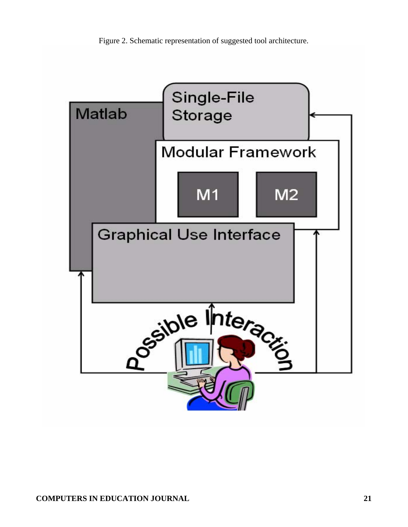Figure 2. Schematic representation of suggested tool architecture.

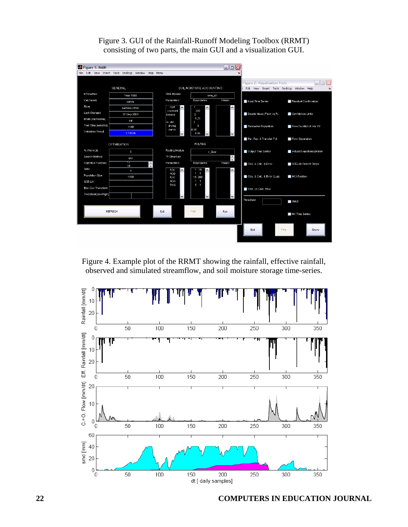

Figure 3. GUI of the Rainfall-Runoff Modeling Toolbox (RRMT) consisting of two parts, the main GUI and a visualization GUI.

Figure 4. Example plot of the RRMT showing the rainfall, effective rainfall, observed and simulated streamflow, and soil moisture storage time-series.

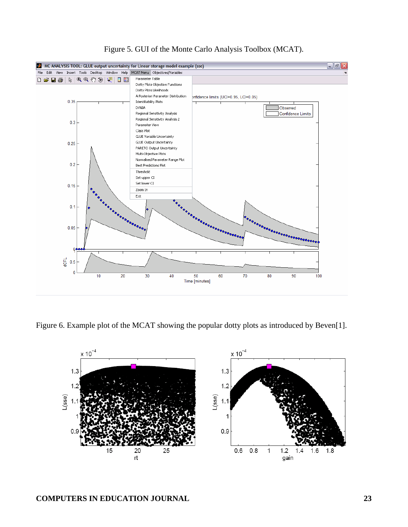

Figure 5. GUI of the Monte Carlo Analysis Toolbox (MCAT).

Figure 6. Example plot of the MCAT showing the popular dotty plots as introduced by Beven[1].

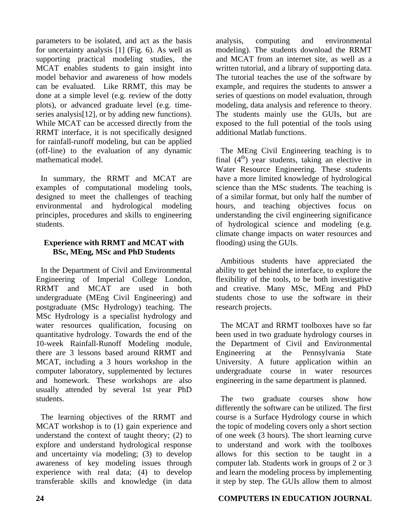parameters to be isolated, and act as the basis for uncertainty analysis [1] (Fig. 6). As well as supporting practical modeling studies, the MCAT enables students to gain insight into model behavior and awareness of how models can be evaluated. Like RRMT, this may be done at a simple level (e.g. review of the dotty plots), or advanced graduate level (e.g. timeseries analysis[12], or by adding new functions). While MCAT can be accessed directly from the RRMT interface, it is not specifically designed for rainfall-runoff modeling, but can be applied (off-line) to the evaluation of any dynamic mathematical model.

In summary, the RRMT and MCAT are examples of computational modeling tools, designed to meet the challenges of teaching environmental and hydrological modeling principles, procedures and skills to engineering students.

## **Experience with RRMT and MCAT with BSc, MEng, MSc and PhD Students**

In the Department of Civil and Environmental Engineering of Imperial College London, RRMT and MCAT are used in both undergraduate (MEng Civil Engineering) and postgraduate (MSc Hydrology) teaching. The MSc Hydrology is a specialist hydrology and water resources qualification, focusing on quantitative hydrology. Towards the end of the 10-week Rainfall-Runoff Modeling module, there are 3 lessons based around RRMT and MCAT, including a 3 hours workshop in the computer laboratory, supplemented by lectures and homework. These workshops are also usually attended by several 1st year PhD students.

The learning objectives of the RRMT and MCAT workshop is to (1) gain experience and understand the context of taught theory; (2) to explore and understand hydrological response and uncertainty via modeling; (3) to develop awareness of key modeling issues through experience with real data; (4) to develop transferable skills and knowledge (in data

analysis, computing and environmental modeling). The students download the RRMT and MCAT from an internet site, as well as a written tutorial, and a library of supporting data. The tutorial teaches the use of the software by example, and requires the students to answer a series of questions on model evaluation, through modeling, data analysis and reference to theory. The students mainly use the GUIs, but are exposed to the full potential of the tools using additional Matlab functions.

The MEng Civil Engineering teaching is to final  $(4<sup>th</sup>)$  year students, taking an elective in Water Resource Engineering. These students have a more limited knowledge of hydrological science than the MSc students. The teaching is of a similar format, but only half the number of hours, and teaching objectives focus on understanding the civil engineering significance of hydrological science and modeling (e.g. climate change impacts on water resources and flooding) using the GUIs.

Ambitious students have appreciated the ability to get behind the interface, to explore the flexibility of the tools, to be both investigative and creative. Many MSc, MEng and PhD students chose to use the software in their research projects.

The MCAT and RRMT toolboxes have so far been used in two graduate hydrology courses in the Department of Civil and Environmental Engineering at the Pennsylvania State University. A future application within an undergraduate course in water resources engineering in the same department is planned.

The two graduate courses show how differently the software can be utilized. The first course is a Surface Hydrology course in which the topic of modeling covers only a short section of one week (3 hours). The short learning curve to understand and work with the toolboxes allows for this section to be taught in a computer lab. Students work in groups of 2 or 3 and learn the modeling process by implementing it step by step. The GUIs allow them to almost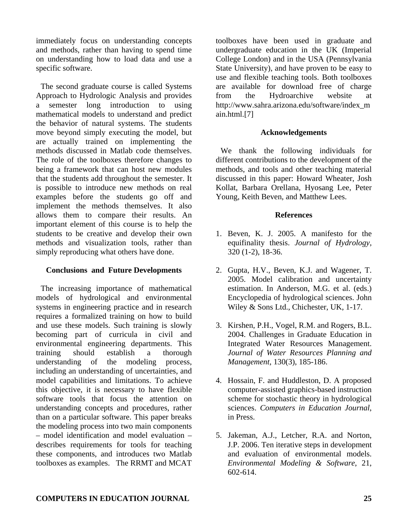immediately focus on understanding concepts and methods, rather than having to spend time on understanding how to load data and use a specific software.

The second graduate course is called Systems Approach to Hydrologic Analysis and provides a semester long introduction to using mathematical models to understand and predict the behavior of natural systems. The students move beyond simply executing the model, but are actually trained on implementing the methods discussed in Matlab code themselves. The role of the toolboxes therefore changes to being a framework that can host new modules that the students add throughout the semester. It is possible to introduce new methods on real examples before the students go off and implement the methods themselves. It also allows them to compare their results. An important element of this course is to help the students to be creative and develop their own methods and visualization tools, rather than simply reproducing what others have done.

#### **Conclusions and Future Developments**

The increasing importance of mathematical models of hydrological and environmental systems in engineering practice and in research requires a formalized training on how to build and use these models. Such training is slowly becoming part of curricula in civil and environmental engineering departments. This training should establish a thorough understanding of the modeling process, including an understanding of uncertainties, and model capabilities and limitations. To achieve this objective, it is necessary to have flexible software tools that focus the attention on understanding concepts and procedures, rather than on a particular software. This paper breaks the modeling process into two main components – model identification and model evaluation – describes requirements for tools for teaching these components, and introduces two Matlab toolboxes as examples. The RRMT and MCAT

toolboxes have been used in graduate and undergraduate education in the UK (Imperial College London) and in the USA (Pennsylvania State University), and have proven to be easy to use and flexible teaching tools. Both toolboxes are available for download free of charge from the Hydroarchive website at http://www.sahra.arizona.edu/software/index\_m ain.html.[7]

#### **Acknowledgements**

We thank the following individuals for different contributions to the development of the methods, and tools and other teaching material discussed in this paper: Howard Wheater, Josh Kollat, Barbara Orellana, Hyosang Lee, Peter Young, Keith Beven, and Matthew Lees.

#### **References**

- 1. Beven, K. J. 2005. A manifesto for the equifinality thesis. *Journal of Hydrology,* 320 (1-2), 18-36.
- 2. Gupta, H.V., Beven, K.J. and Wagener, T. 2005. Model calibration and uncertainty estimation. In Anderson, M.G. et al. (eds.) Encyclopedia of hydrological sciences. John Wiley & Sons Ltd., Chichester, UK, 1-17.
- 3. Kirshen, P.H., Vogel, R.M. and Rogers, B.L. 2004. [Challenges in Graduate Education in](http://ase.tufts.edu/cee/faculty/vogel/challenges.pdf)  [Integrated Water Resources Management.](http://ase.tufts.edu/cee/faculty/vogel/challenges.pdf) *Journal of Water Resources Planning and Management*, 130(3), 185-186.
- 4. Hossain, F. and Huddleston, D. A proposed computer-assisted graphics-based instruction scheme for stochastic theory in hydrological sciences. *Computers in Education Journal*, in Press.
- 5. Jakeman, A.J., Letcher, R.A. and Norton, J.P. 2006. Ten iterative steps in development and evaluation of environmental models. *Environmental Modeling & Software*, 21, 602-614.